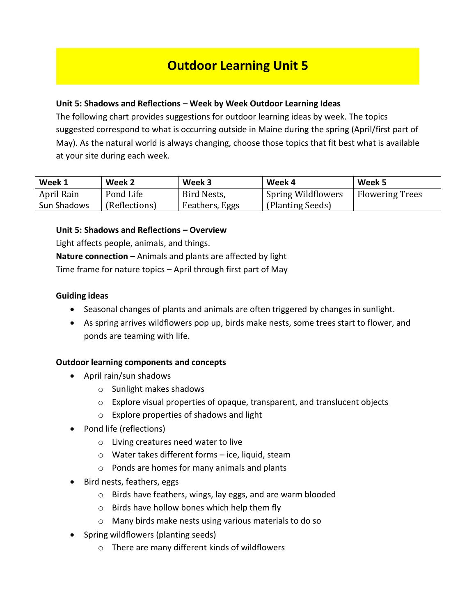# **Outdoor Learning Unit 5**

### **Unit 5: Shadows and Reflections – Week by Week Outdoor Learning Ideas**

The following chart provides suggestions for outdoor learning ideas by week. The topics suggested correspond to what is occurring outside in Maine during the spring (April/first part of May). As the natural world is always changing, choose those topics that fit best what is available at your site during each week.

| Week 1      | Week 2        | Week 3         | Week 4                    | Week 5                 |
|-------------|---------------|----------------|---------------------------|------------------------|
| April Rain  | Pond Life     | Bird Nests,    | <b>Spring Wildflowers</b> | <b>Flowering Trees</b> |
| Sun Shadows | (Reflections) | Feathers, Eggs | (Planting Seeds)          |                        |

### **Unit 5: Shadows and Reflections – Overview**

Light affects people, animals, and things. **Nature connection** – Animals and plants are affected by light Time frame for nature topics – April through first part of May

### **Guiding ideas**

- Seasonal changes of plants and animals are often triggered by changes in sunlight.
- As spring arrives wildflowers pop up, birds make nests, some trees start to flower, and ponds are teaming with life.

### **Outdoor learning components and concepts**

- April rain/sun shadows
	- o Sunlight makes shadows
	- o Explore visual properties of opaque, transparent, and translucent objects
	- o Explore properties of shadows and light
- Pond life (reflections)
	- o Living creatures need water to live
	- o Water takes different forms ice, liquid, steam
	- o Ponds are homes for many animals and plants
- Bird nests, feathers, eggs
	- o Birds have feathers, wings, lay eggs, and are warm blooded
	- o Birds have hollow bones which help them fly
	- o Many birds make nests using various materials to do so
- Spring wildflowers (planting seeds)
	- o There are many different kinds of wildflowers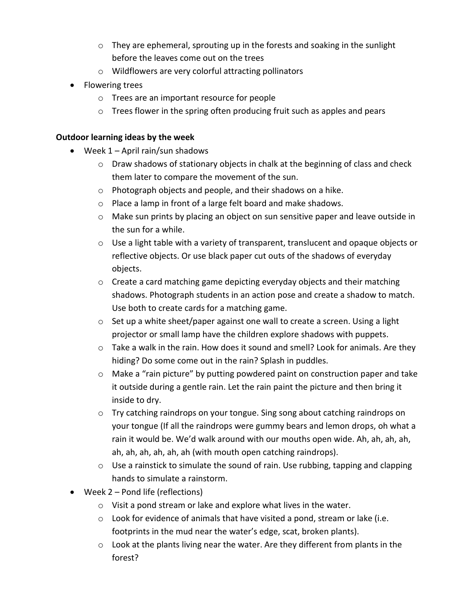- $\circ$  They are ephemeral, sprouting up in the forests and soaking in the sunlight before the leaves come out on the trees
- o Wildflowers are very colorful attracting pollinators
- Flowering trees
	- o Trees are an important resource for people
	- o Trees flower in the spring often producing fruit such as apples and pears

## **Outdoor learning ideas by the week**

- Week 1 April rain/sun shadows
	- $\circ$  Draw shadows of stationary objects in chalk at the beginning of class and check them later to compare the movement of the sun.
	- o Photograph objects and people, and their shadows on a hike.
	- o Place a lamp in front of a large felt board and make shadows.
	- o Make sun prints by placing an object on sun sensitive paper and leave outside in the sun for a while.
	- $\circ$  Use a light table with a variety of transparent, translucent and opaque objects or reflective objects. Or use black paper cut outs of the shadows of everyday objects.
	- o Create a card matching game depicting everyday objects and their matching shadows. Photograph students in an action pose and create a shadow to match. Use both to create cards for a matching game.
	- $\circ$  Set up a white sheet/paper against one wall to create a screen. Using a light projector or small lamp have the children explore shadows with puppets.
	- $\circ$  Take a walk in the rain. How does it sound and smell? Look for animals. Are they hiding? Do some come out in the rain? Splash in puddles.
	- $\circ$  Make a "rain picture" by putting powdered paint on construction paper and take it outside during a gentle rain. Let the rain paint the picture and then bring it inside to dry.
	- o Try catching raindrops on your tongue. Sing song about catching raindrops on your tongue (If all the raindrops were gummy bears and lemon drops, oh what a rain it would be. We'd walk around with our mouths open wide. Ah, ah, ah, ah, ah, ah, ah, ah, ah, ah (with mouth open catching raindrops).
	- $\circ$  Use a rainstick to simulate the sound of rain. Use rubbing, tapping and clapping hands to simulate a rainstorm.
- Week 2 Pond life (reflections)
	- o Visit a pond stream or lake and explore what lives in the water.
	- $\circ$  Look for evidence of animals that have visited a pond, stream or lake (i.e. footprints in the mud near the water's edge, scat, broken plants).
	- $\circ$  Look at the plants living near the water. Are they different from plants in the forest?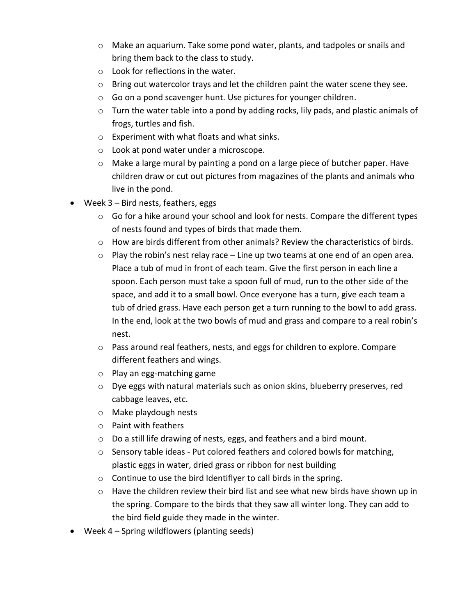- $\circ$  Make an aquarium. Take some pond water, plants, and tadpoles or snails and bring them back to the class to study.
- o Look for reflections in the water.
- $\circ$  Bring out watercolor trays and let the children paint the water scene they see.
- o Go on a pond scavenger hunt. Use pictures for younger children.
- o Turn the water table into a pond by adding rocks, lily pads, and plastic animals of frogs, turtles and fish.
- o Experiment with what floats and what sinks.
- o Look at pond water under a microscope.
- $\circ$  Make a large mural by painting a pond on a large piece of butcher paper. Have children draw or cut out pictures from magazines of the plants and animals who live in the pond.
- Week 3 Bird nests, feathers, eggs
	- $\circ$  Go for a hike around your school and look for nests. Compare the different types of nests found and types of birds that made them.
	- $\circ$  How are birds different from other animals? Review the characteristics of birds.
	- $\circ$  Play the robin's nest relay race Line up two teams at one end of an open area. Place a tub of mud in front of each team. Give the first person in each line a spoon. Each person must take a spoon full of mud, run to the other side of the space, and add it to a small bowl. Once everyone has a turn, give each team a tub of dried grass. Have each person get a turn running to the bowl to add grass. In the end, look at the two bowls of mud and grass and compare to a real robin's nest.
	- $\circ$  Pass around real feathers, nests, and eggs for children to explore. Compare different feathers and wings.
	- o Play an egg-matching game
	- $\circ$  Dye eggs with natural materials such as onion skins, blueberry preserves, red cabbage leaves, etc.
	- o Make playdough nests
	- o Paint with feathers
	- o Do a still life drawing of nests, eggs, and feathers and a bird mount.
	- $\circ$  Sensory table ideas Put colored feathers and colored bowls for matching, plastic eggs in water, dried grass or ribbon for nest building
	- $\circ$  Continue to use the bird Identiflyer to call birds in the spring.
	- $\circ$  Have the children review their bird list and see what new birds have shown up in the spring. Compare to the birds that they saw all winter long. They can add to the bird field guide they made in the winter.
- Week 4 Spring wildflowers (planting seeds)